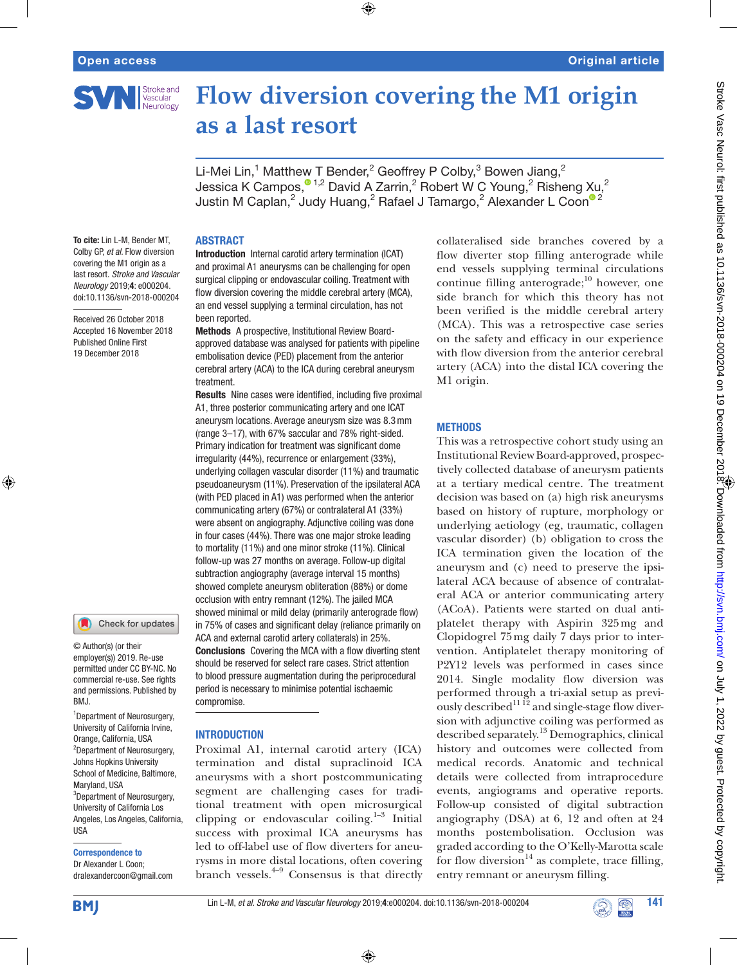

# **Flow diversion covering the M1 origin as a last resort**

Li-Mei Lin,<sup>1</sup> Matthew T Bender,<sup>2</sup> Geoffrey P Colby,<sup>3</sup> Bowen Jiang,<sup>2</sup> Jessica K Campos, $^{\circ}$ <sup>1,2</sup> David A Zarrin,<sup>2</sup> Robert W C Young,<sup>2</sup> Risheng Xu,<sup>2</sup> Justin M Caplan, $^2$  Judy Huang, $^2$  Rafael J Tamargo, $^2$  Alexander L Coon $^{\circ}$   $^2$ 

 $\bigoplus$ 

To cite: Lin L-M, Bender MT, Colby GP, *et al*. Flow diversion covering the M1 origin as a last resort. *Stroke and Vascular Neurology* 2019;4: e000204. doi:10.1136/svn-2018-000204

Received 26 October 2018 Accepted 16 November 2018 Published Online First 19 December 2018



⊕

© Author(s) (or their employer(s)) 2019. Re-use permitted under CC BY-NC. No commercial re-use. See rights and permissions. Published by BMJ.

<sup>1</sup> Department of Neurosurgery, University of California Irvine, Orange, California, USA 2 Department of Neurosurgery, Johns Hopkins University School of Medicine, Baltimore, Maryland, USA <sup>3</sup>Department of Neurosurgery, University of California Los Angeles, Los Angeles, California, USA

#### Correspondence to

Dr Alexander L Coon; dralexandercoon@gmail.com

#### **ABSTRACT**

Introduction Internal carotid artery termination (ICAT) and proximal A1 aneurysms can be challenging for open surgical clipping or endovascular coiling. Treatment with flow diversion covering the middle cerebral artery (MCA), an end vessel supplying a terminal circulation, has not been reported.

Methods A prospective, Institutional Review Boardapproved database was analysed for patients with pipeline embolisation device (PED) placement from the anterior cerebral artery (ACA) to the ICA during cerebral aneurysm treatment.

Results Nine cases were identified, including five proximal A1, three posterior communicating artery and one ICAT aneurysm locations. Average aneurysm size was 8.3mm (range 3–17), with 67% saccular and 78% right-sided. Primary indication for treatment was significant dome irregularity (44%), recurrence or enlargement (33%), underlying collagen vascular disorder (11%) and traumatic pseudoaneurysm (11%). Preservation of the ipsilateral ACA (with PED placed in A1) was performed when the anterior communicating artery (67%) or contralateral A1 (33%) were absent on angiography. Adjunctive coiling was done in four cases (44%). There was one major stroke leading to mortality (11%) and one minor stroke (11%). Clinical follow-up was 27 months on average. Follow-up digital subtraction angiography (average interval 15 months) showed complete aneurysm obliteration (88%) or dome occlusion with entry remnant (12%). The jailed MCA showed minimal or mild delay (primarily anterograde flow) in 75% of cases and significant delay (reliance primarily on ACA and external carotid artery collaterals) in 25%. Conclusions Covering the MCA with a flow diverting stent should be reserved for select rare cases. Strict attention to blood pressure augmentation during the periprocedural period is necessary to minimise potential ischaemic compromise.

#### **INTRODUCTION**

Proximal A1, internal carotid artery (ICA) termination and distal supraclinoid ICA aneurysms with a short postcommunicating segment are challenging cases for traditional treatment with open microsurgical clipping or endovascular coiling. $1-3$  Initial success with proximal ICA aneurysms has led to off-label use of flow diverters for aneurysms in more distal locations, often covering branch vessels. $4-9$  Consensus is that directly

collateralised side branches covered by a flow diverter stop filling anterograde while end vessels supplying terminal circulations continue filling anterograde; $10$  however, one side branch for which this theory has not been verified is the middle cerebral artery (MCA). This was a retrospective case series on the safety and efficacy in our experience with flow diversion from the anterior cerebral artery (ACA) into the distal ICA covering the M1 origin.

#### **METHODS**

This was a retrospective cohort study using an Institutional Review Board-approved, prospectively collected database of aneurysm patients at a tertiary medical centre. The treatment decision was based on (a) high risk aneurysms based on history of rupture, morphology or underlying aetiology (eg, traumatic, collagen vascular disorder) (b) obligation to cross the ICA termination given the location of the aneurysm and (c) need to preserve the ipsilateral ACA because of absence of contralateral ACA or anterior communicating artery (ACoA). Patients were started on dual antiplatelet therapy with Aspirin 325mg and Clopidogrel 75mg daily 7 days prior to intervention. Antiplatelet therapy monitoring of P2Y12 levels was performed in cases since 2014. Single modality flow diversion was performed through a tri-axial setup as previously described $^{11}$ <sup>12</sup> and single-stage flow diversion with adjunctive coiling was performed as described separately.<sup>13</sup> Demographics, clinical history and outcomes were collected from medical records. Anatomic and technical details were collected from intraprocedure events, angiograms and operative reports. Follow-up consisted of digital subtraction angiography (DSA) at 6, 12 and often at 24 months postembolisation. Occlusion was graded according to the O'Kelly-Marotta scale for flow diversion $14$  as complete, trace filling, entry remnant or aneurysm filling.

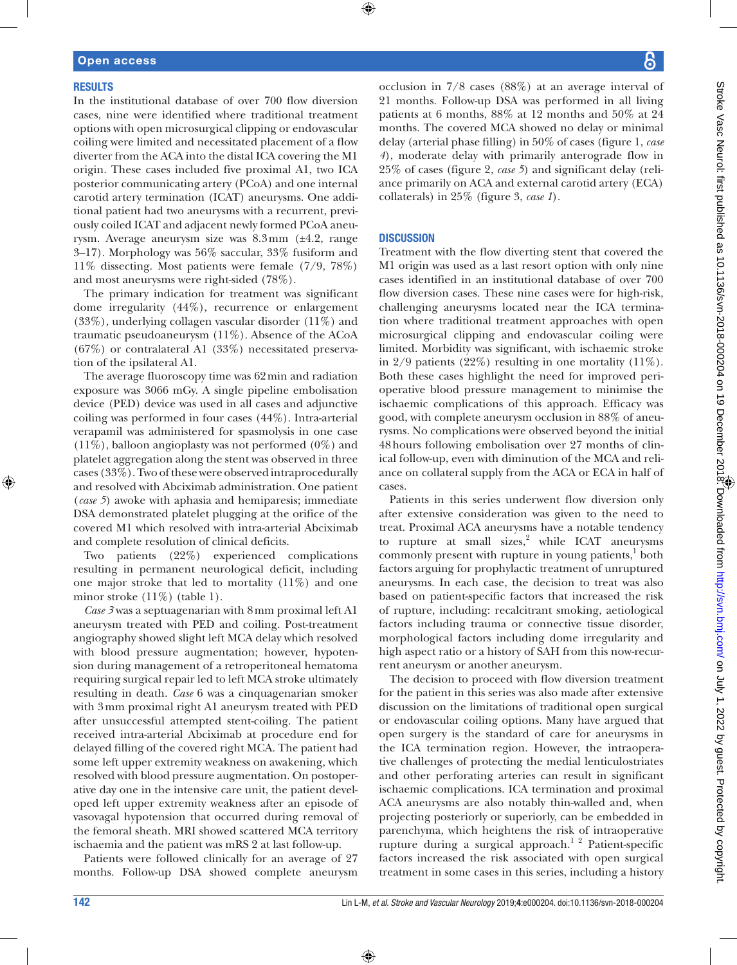#### **RESULTS**

In the institutional database of over 700 flow diversion cases, nine were identified where traditional treatment options with open microsurgical clipping or endovascular coiling were limited and necessitated placement of a flow diverter from the ACA into the distal ICA covering the M1 origin. These cases included five proximal A1, two ICA posterior communicating artery (PCoA) and one internal carotid artery termination (ICAT) aneurysms. One additional patient had two aneurysms with a recurrent, previously coiled ICAT and adjacent newly formed PCoA aneurysm. Average aneurysm size was 8.3mm (±4.2, range 3–17). Morphology was 56% saccular, 33% fusiform and 11% dissecting. Most patients were female (7/9, 78%) and most aneurysms were right-sided (78%).

The primary indication for treatment was significant dome irregularity (44%), recurrence or enlargement (33%), underlying collagen vascular disorder (11%) and traumatic pseudoaneurysm (11%). Absence of the ACoA (67%) or contralateral A1 (33%) necessitated preservation of the ipsilateral A1.

The average fluoroscopy time was 62min and radiation exposure was 3066 mGy. A single pipeline embolisation device (PED) device was used in all cases and adjunctive coiling was performed in four cases (44%). Intra-arterial verapamil was administered for spasmolysis in one case (11%), balloon angioplasty was not performed (0%) and platelet aggregation along the stent was observed in three cases (33%). Two of these were observed intraprocedurally and resolved with Abciximab administration. One patient (*case 5*) awoke with aphasia and hemiparesis; immediate DSA demonstrated platelet plugging at the orifice of the covered M1 which resolved with intra-arterial Abciximab and complete resolution of clinical deficits.

Two patients (22%) experienced complications resulting in permanent neurological deficit, including one major stroke that led to mortality (11%) and one minor stroke  $(11\%)$  (table 1).

*Case 3* was a septuagenarian with 8mm proximal left A1 aneurysm treated with PED and coiling. Post-treatment angiography showed slight left MCA delay which resolved with blood pressure augmentation; however, hypotension during management of a retroperitoneal hematoma requiring surgical repair led to left MCA stroke ultimately resulting in death. *Case* 6 was a cinquagenarian smoker with 3mm proximal right A1 aneurysm treated with PED after unsuccessful attempted stent-coiling. The patient received intra-arterial Abciximab at procedure end for delayed filling of the covered right MCA. The patient had some left upper extremity weakness on awakening, which resolved with blood pressure augmentation. On postoperative day one in the intensive care unit, the patient developed left upper extremity weakness after an episode of vasovagal hypotension that occurred during removal of the femoral sheath. MRI showed scattered MCA territory ischaemia and the patient was mRS 2 at last follow-up.

Patients were followed clinically for an average of 27 months. Follow-up DSA showed complete aneurysm occlusion in 7/8 cases (88%) at an average interval of 21 months. Follow-up DSA was performed in all living patients at 6 months, 88% at 12 months and 50% at 24 months. The covered MCA showed no delay or minimal delay (arterial phase filling) in 50% of cases (figure 1, *case 4*), moderate delay with primarily anterograde flow in 25% of cases (figure 2, *case 5*) and significant delay (reliance primarily on ACA and external carotid artery (ECA) collaterals) in 25% (figure 3, *case 1*).

#### **DISCUSSION**

Treatment with the flow diverting stent that covered the M1 origin was used as a last resort option with only nine cases identified in an institutional database of over 700 flow diversion cases. These nine cases were for high-risk, challenging aneurysms located near the ICA termination where traditional treatment approaches with open microsurgical clipping and endovascular coiling were limited. Morbidity was significant, with ischaemic stroke in  $2/9$  patients (22%) resulting in one mortality (11%). Both these cases highlight the need for improved perioperative blood pressure management to minimise the ischaemic complications of this approach. Efficacy was good, with complete aneurysm occlusion in 88% of aneurysms. No complications were observed beyond the initial 48hours following embolisation over 27 months of clinical follow-up, even with diminution of the MCA and reliance on collateral supply from the ACA or ECA in half of cases.

Patients in this series underwent flow diversion only after extensive consideration was given to the need to treat. Proximal ACA aneurysms have a notable tendency to rupture at small sizes, $2$  while ICAT aneurysms commonly present with rupture in young patients,<sup>1</sup> both factors arguing for prophylactic treatment of unruptured aneurysms. In each case, the decision to treat was also based on patient-specific factors that increased the risk of rupture, including: recalcitrant smoking, aetiological factors including trauma or connective tissue disorder, morphological factors including dome irregularity and high aspect ratio or a history of SAH from this now-recurrent aneurysm or another aneurysm.

The decision to proceed with flow diversion treatment for the patient in this series was also made after extensive discussion on the limitations of traditional open surgical or endovascular coiling options. Many have argued that open surgery is the standard of care for aneurysms in the ICA termination region. However, the intraoperative challenges of protecting the medial lenticulostriates and other perforating arteries can result in significant ischaemic complications. ICA termination and proximal ACA aneurysms are also notably thin-walled and, when projecting posteriorly or superiorly, can be embedded in parenchyma, which heightens the risk of intraoperative rupture during a surgical approach.1 2 Patient-specific factors increased the risk associated with open surgical treatment in some cases in this series, including a history

⊕

 $\bigoplus$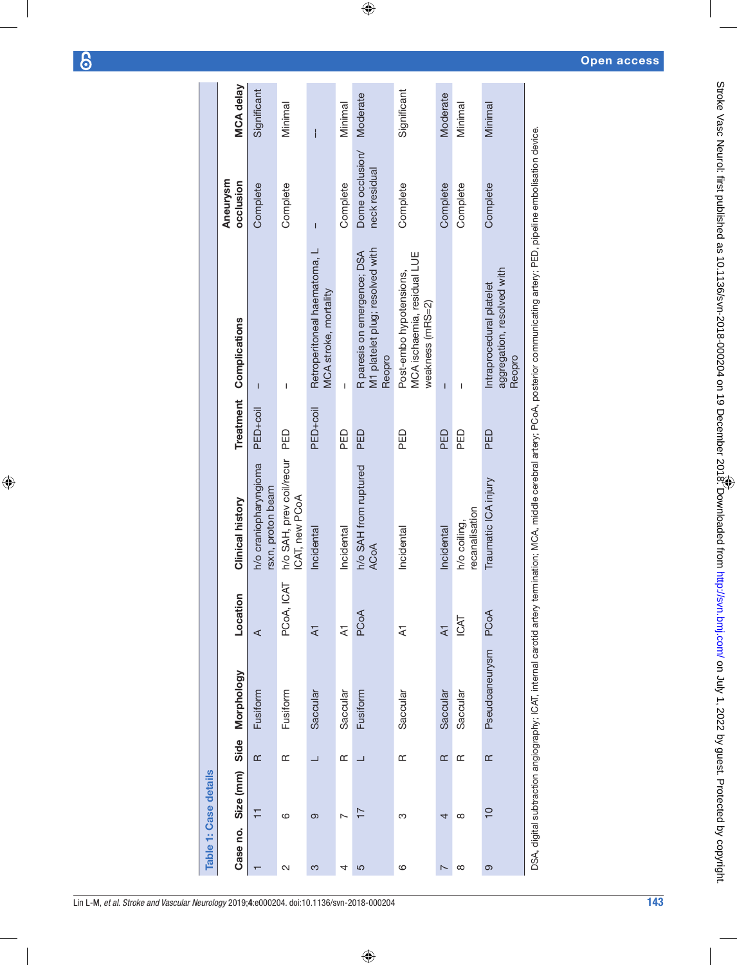$\overline{6}$ 

 $\bigoplus$ 

|                | <b>Table 1: Case details</b> |           |                |                         |                                            |                      |                                                                                                                                                                                        |                                  |                  |
|----------------|------------------------------|-----------|----------------|-------------------------|--------------------------------------------|----------------------|----------------------------------------------------------------------------------------------------------------------------------------------------------------------------------------|----------------------------------|------------------|
| Case no.       | Size (mm)                    | Side      | Morphology     | Location                | Clinical history                           | Treatment            | Complications                                                                                                                                                                          | Aneurysm<br>occlusion            | <b>MCA delay</b> |
|                | Ξ                            | $\alpha$  | Fusiform       | ⋖                       | h/o craniopharyngioma<br>rsxn, proton beam | PED <sub>+coil</sub> | $\overline{1}$                                                                                                                                                                         | Complete                         | Significant      |
| 2              | ဖ                            | $\approx$ | Fusiform       | PCoA, ICAT              | h/o SAH, prev coil/recur<br>ICAT, new PCoA | <b>DED</b>           | I                                                                                                                                                                                      | Complete                         | Minimal          |
| က              | တ                            | ⊐         | Saccular       | $\overline{A}$          | Incidental                                 | PED <sub>+coil</sub> | Retroperitoneal haematoma, L<br>MCA stroke, mortality                                                                                                                                  | $\overline{1}$                   | i                |
| 4              | $\overline{ }$               | Œ         | Saccular       | $\overline{z}$          | Incidental                                 | PED                  | I                                                                                                                                                                                      | Complete                         | Minimal          |
| 5              | $\overline{17}$              |           | Fusiform       | PCoA                    | h/o SAH from ruptured<br><b>ACoA</b>       | PED                  | M1 platelet plug; resolved with<br>R paresis on emergence; DSA<br>Reopro                                                                                                               | Dome occlusion/<br>neck residual | Moderate         |
| ဖ              | ო                            | $\alpha$  | Saccular       | $\overline{\mathbf{z}}$ | Incidental                                 | <b>DED</b>           | MCA ischaemia, residual LUE<br>Post-embo hypotensions,<br>weakness (mRS=2)                                                                                                             | Complete                         | Significant      |
| $\overline{ }$ | 4                            | $\approx$ | Saccular       | $\overline{A}$          | Incidental                                 | PED                  | $\overline{1}$                                                                                                                                                                         | Complete                         | Moderate         |
| $\infty$       | $\infty$                     | $\approx$ | Saccular       | ICAT                    | recanalisation<br>h/o coiling,             | PED                  | ı                                                                                                                                                                                      | Complete                         | Minimal          |
| တ              | $\frac{1}{2}$                | $\approx$ | Pseudoaneurysm | PCoA                    | Traumatic ICA injury                       | PED                  | aggregation, resolved with<br>Intraprocedural platelet<br>Reopro                                                                                                                       | Complete                         | Minimal          |
|                |                              |           |                |                         |                                            |                      | DSA, digital subtraction angiography; ICAT, internal carotid artery termination; MCA, middle cerebral artery; PCoA, posterior communicating artery; PED, pipeline embolisation device. |                                  |                  |

 $\bigoplus$ 

Open access

Lin L-M, *et al*. *Stroke and Vascular Neurology* 2019; 4:e000204. doi:10.1136/svn-2018-000204 143

 $\bigoplus$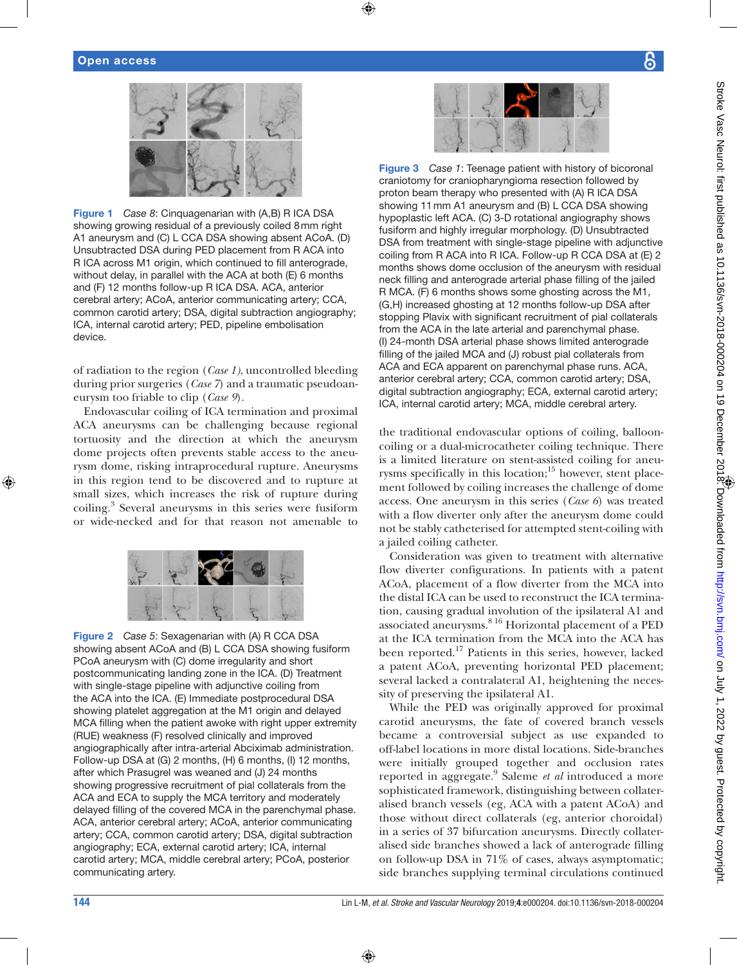#### Open access



Figure 1 *Case 8*: Cinquagenarian with (A,B) R ICA DSA showing growing residual of a previously coiled 8mm right A1 aneurysm and (C) L CCA DSA showing absent ACoA. (D) Unsubtracted DSA during PED placement from R ACA into R ICA across M1 origin, which continued to fill anterograde, without delay, in parallel with the ACA at both (E) 6 months and (F) 12 months follow-up R ICA DSA. ACA, anterior cerebral artery; ACoA, anterior communicating artery; CCA, common carotid artery; DSA, digital subtraction angiography; ICA, internal carotid artery; PED, pipeline embolisation device.

of radiation to the region (*Case 1)*, uncontrolled bleeding during prior surgeries (*Case 7*) and a traumatic pseudoaneurysm too friable to clip (*Case 9*).

Endovascular coiling of ICA termination and proximal ACA aneurysms can be challenging because regional tortuosity and the direction at which the aneurysm dome projects often prevents stable access to the aneurysm dome, risking intraprocedural rupture. Aneurysms in this region tend to be discovered and to rupture at small sizes, which increases the risk of rupture during coiling.<sup>3</sup> Several aneurysms in this series were fusiform or wide-necked and for that reason not amenable to



Figure 2 *Case 5*: Sexagenarian with (A) R CCA DSA showing absent ACoA and (B) L CCA DSA showing fusiform PCoA aneurysm with (C) dome irregularity and short postcommunicating landing zone in the ICA. (D) Treatment with single-stage pipeline with adjunctive coiling from the ACA into the ICA. (E) Immediate postprocedural DSA showing platelet aggregation at the M1 origin and delayed MCA filling when the patient awoke with right upper extremity (RUE) weakness (F) resolved clinically and improved angiographically after intra-arterial Abciximab administration. Follow-up DSA at (G) 2 months, (H) 6 months, (I) 12 months, after which Prasugrel was weaned and (J) 24 months showing progressive recruitment of pial collaterals from the ACA and ECA to supply the MCA territory and moderately delayed filling of the covered MCA in the parenchymal phase. ACA, anterior cerebral artery; ACoA, anterior communicating artery; CCA, common carotid artery; DSA, digital subtraction angiography; ECA, external carotid artery; ICA, internal carotid artery; MCA, middle cerebral artery; PCoA, posterior communicating artery.



⊕

Figure 3 *Case 1*: Teenage patient with history of bicoronal craniotomy for craniopharyngioma resection followed by proton beam therapy who presented with (A) R ICA DSA showing 11mm A1 aneurysm and (B) L CCA DSA showing hypoplastic left ACA. (C) 3-D rotational angiography shows fusiform and highly irregular morphology. (D) Unsubtracted DSA from treatment with single-stage pipeline with adjunctive coiling from R ACA into R ICA. Follow-up R CCA DSA at (E) 2 months shows dome occlusion of the aneurysm with residual neck filling and anterograde arterial phase filling of the jailed R MCA. (F) 6 months shows some ghosting across the M1, (G,H) increased ghosting at 12 months follow-up DSA after stopping Plavix with significant recruitment of pial collaterals from the ACA in the late arterial and parenchymal phase. (I) 24-month DSA arterial phase shows limited anterograde filling of the jailed MCA and (J) robust pial collaterals from ACA and ECA apparent on parenchymal phase runs. ACA, anterior cerebral artery; CCA, common carotid artery; DSA, digital subtraction angiography; ECA, external carotid artery; ICA, internal carotid artery; MCA, middle cerebral artery.

the traditional endovascular options of coiling, ballooncoiling or a dual-microcatheter coiling technique. There is a limited literature on stent-assisted coiling for aneurysms specifically in this location; $15$  however, stent placement followed by coiling increases the challenge of dome access. One aneurysm in this series (*Case 6*) was treated with a flow diverter only after the aneurysm dome could not be stably catheterised for attempted stent-coiling with a jailed coiling catheter.

Consideration was given to treatment with alternative flow diverter configurations. In patients with a patent ACoA, placement of a flow diverter from the MCA into the distal ICA can be used to reconstruct the ICA termination, causing gradual involution of the ipsilateral A1 and associated aneurysms.<sup>8 16</sup> Horizontal placement of a PED at the ICA termination from the MCA into the ACA has been reported.17 Patients in this series, however, lacked a patent ACoA, preventing horizontal PED placement; several lacked a contralateral A1, heightening the necessity of preserving the ipsilateral A1.

While the PED was originally approved for proximal carotid aneurysms, the fate of covered branch vessels became a controversial subject as use expanded to off-label locations in more distal locations. Side-branches were initially grouped together and occlusion rates reported in aggregate.<sup>9</sup> Saleme *et al* introduced a more sophisticated framework, distinguishing between collateralised branch vessels (eg, ACA with a patent ACoA) and those without direct collaterals (eg, anterior choroidal) in a series of 37 bifurcation aneurysms. Directly collateralised side branches showed a lack of anterograde filling on follow-up DSA in 71% of cases, always asymptomatic; side branches supplying terminal circulations continued

⊕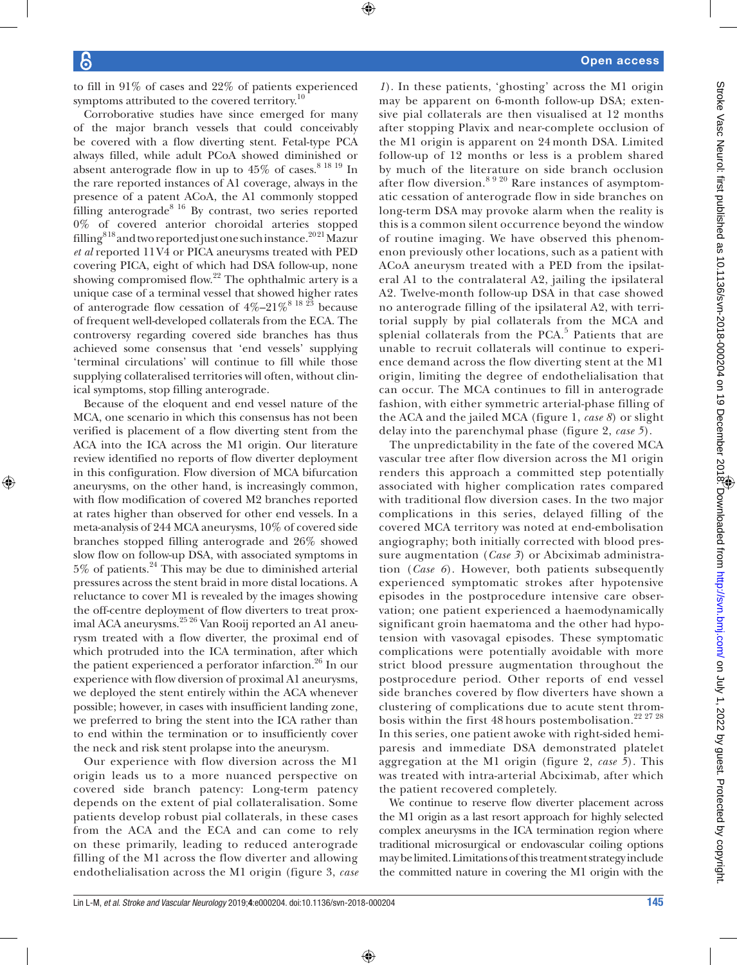to fill in 91% of cases and 22% of patients experienced symptoms attributed to the covered territory.<sup>10</sup>

Corroborative studies have since emerged for many of the major branch vessels that could conceivably be covered with a flow diverting stent. Fetal-type PCA always filled, while adult PCoA showed diminished or absent anterograde flow in up to  $45\%$  of cases.<sup>8 18 19</sup> In the rare reported instances of A1 coverage, always in the presence of a patent ACoA, the A1 commonly stopped filling anterograde<sup>8 16</sup> By contrast, two series reported 0% of covered anterior choroidal arteries stopped filling<sup>818</sup> and two reported just one such instance.<sup>2021</sup> Mazur *et al* reported 11V4 or PICA aneurysms treated with PED covering PICA, eight of which had DSA follow-up, none showing compromised flow. $22$  The ophthalmic artery is a unique case of a terminal vessel that showed higher rates of anterograde flow cessation of  $4\%-21\%^{8}$  <sup>18 23</sup> because of frequent well-developed collaterals from the ECA. The controversy regarding covered side branches has thus achieved some consensus that 'end vessels' supplying 'terminal circulations' will continue to fill while those supplying collateralised territories will often, without clinical symptoms, stop filling anterograde.

Because of the eloquent and end vessel nature of the MCA, one scenario in which this consensus has not been verified is placement of a flow diverting stent from the ACA into the ICA across the M1 origin. Our literature review identified no reports of flow diverter deployment in this configuration. Flow diversion of MCA bifurcation aneurysms, on the other hand, is increasingly common, with flow modification of covered M2 branches reported at rates higher than observed for other end vessels. In a meta-analysis of 244 MCA aneurysms, 10% of covered side branches stopped filling anterograde and 26% showed slow flow on follow-up DSA, with associated symptoms in  $5\%$  of patients.<sup>24</sup> This may be due to diminished arterial pressures across the stent braid in more distal locations. A reluctance to cover M1 is revealed by the images showing the off-centre deployment of flow diverters to treat proximal ACA aneurysms.25 26 Van Rooij reported an A1 aneurysm treated with a flow diverter, the proximal end of which protruded into the ICA termination, after which the patient experienced a perforator infarction.<sup>26</sup> In our experience with flow diversion of proximal A1 aneurysms, we deployed the stent entirely within the ACA whenever possible; however, in cases with insufficient landing zone, we preferred to bring the stent into the ICA rather than to end within the termination or to insufficiently cover the neck and risk stent prolapse into the aneurysm.

Our experience with flow diversion across the M1 origin leads us to a more nuanced perspective on covered side branch patency: Long-term patency depends on the extent of pial collateralisation. Some patients develop robust pial collaterals, in these cases from the ACA and the ECA and can come to rely on these primarily, leading to reduced anterograde filling of the M1 across the flow diverter and allowing endothelialisation across the M1 origin (figure 3, *case*  *1*). In these patients, 'ghosting' across the M1 origin may be apparent on 6-month follow-up DSA; extensive pial collaterals are then visualised at 12 months after stopping Plavix and near-complete occlusion of the M1 origin is apparent on 24 month DSA. Limited follow-up of 12 months or less is a problem shared by much of the literature on side branch occlusion after flow diversion.<sup>8 9 20</sup> Rare instances of asymptomatic cessation of anterograde flow in side branches on long-term DSA may provoke alarm when the reality is this is a common silent occurrence beyond the window of routine imaging. We have observed this phenomenon previously other locations, such as a patient with ACoA aneurysm treated with a PED from the ipsilateral A1 to the contralateral A2, jailing the ipsilateral A2. Twelve-month follow-up DSA in that case showed no anterograde filling of the ipsilateral A2, with territorial supply by pial collaterals from the MCA and splenial collaterals from the PCA. $5$  Patients that are unable to recruit collaterals will continue to experience demand across the flow diverting stent at the M1 origin, limiting the degree of endothelialisation that can occur. The MCA continues to fill in anterograde fashion, with either symmetric arterial-phase filling of the ACA and the jailed MCA (figure 1, *case 8*) or slight delay into the parenchymal phase (figure 2, *case 5*).

The unpredictability in the fate of the covered MCA vascular tree after flow diversion across the M1 origin renders this approach a committed step potentially associated with higher complication rates compared with traditional flow diversion cases. In the two major complications in this series, delayed filling of the covered MCA territory was noted at end-embolisation angiography; both initially corrected with blood pressure augmentation (*Case 3*) or Abciximab administration (*Case 6*). However, both patients subsequently experienced symptomatic strokes after hypotensive episodes in the postprocedure intensive care observation; one patient experienced a haemodynamically significant groin haematoma and the other had hypotension with vasovagal episodes. These symptomatic complications were potentially avoidable with more strict blood pressure augmentation throughout the postprocedure period. Other reports of end vessel side branches covered by flow diverters have shown a clustering of complications due to acute stent thrombosis within the first 48 hours postembolisation.<sup>22 27 28</sup> In this series, one patient awoke with right-sided hemiparesis and immediate DSA demonstrated platelet aggregation at the M1 origin (figure 2, *case 5*). This was treated with intra-arterial Abciximab, after which the patient recovered completely.

We continue to reserve flow diverter placement across the M1 origin as a last resort approach for highly selected complex aneurysms in the ICA termination region where traditional microsurgical or endovascular coiling options may be limited. Limitations of this treatment strategy include the committed nature in covering the M1 origin with the

⊕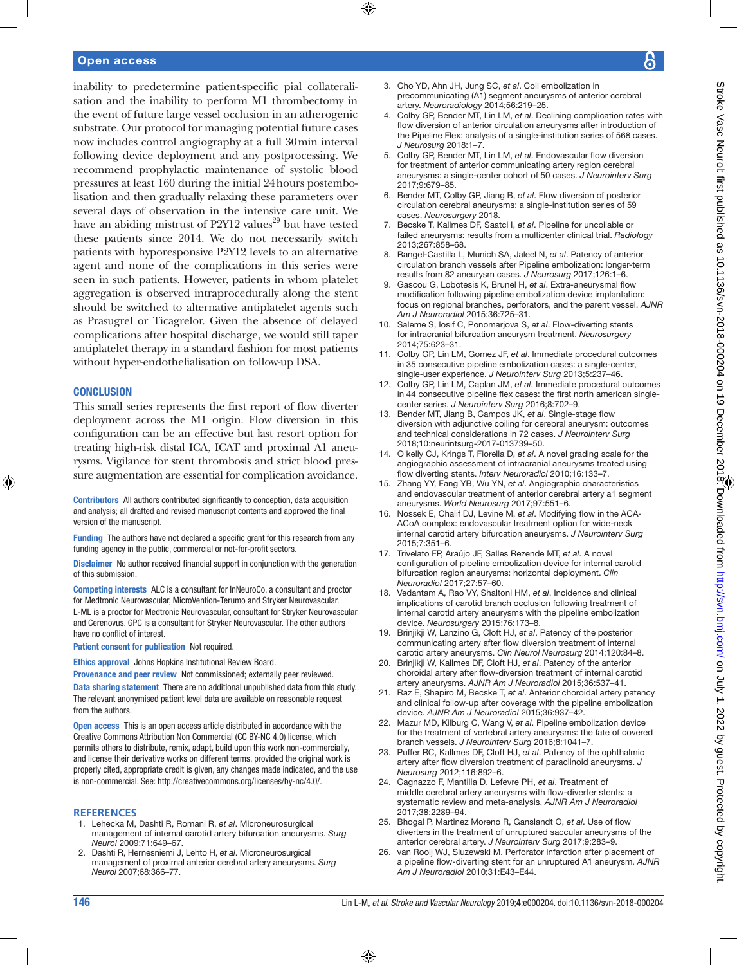### Open access

inability to predetermine patient-specific pial collateralisation and the inability to perform M1 thrombectomy in the event of future large vessel occlusion in an atherogenic substrate. Our protocol for managing potential future cases now includes control angiography at a full 30min interval following device deployment and any postprocessing. We recommend prophylactic maintenance of systolic blood pressures at least 160 during the initial 24hours postembolisation and then gradually relaxing these parameters over several days of observation in the intensive care unit. We have an abiding mistrust of P2Y12 values<sup>29</sup> but have tested these patients since 2014. We do not necessarily switch patients with hyporesponsive P2Y12 levels to an alternative agent and none of the complications in this series were seen in such patients. However, patients in whom platelet aggregation is observed intraprocedurally along the stent should be switched to alternative antiplatelet agents such as Prasugrel or Ticagrelor. Given the absence of delayed complications after hospital discharge, we would still taper antiplatelet therapy in a standard fashion for most patients without hyper-endothelialisation on follow-up DSA.

#### **CONCLUSION**

⊕

This small series represents the first report of flow diverter deployment across the M1 origin. Flow diversion in this configuration can be an effective but last resort option for treating high-risk distal ICA, ICAT and proximal A1 aneurysms. Vigilance for stent thrombosis and strict blood pressure augmentation are essential for complication avoidance.

Contributors All authors contributed significantly to conception, data acquisition and analysis; all drafted and revised manuscript contents and approved the final version of the manuscript.

Funding The authors have not declared a specific grant for this research from any funding agency in the public, commercial or not-for-profit sectors.

Disclaimer No author received financial support in conjunction with the generation of this submission.

Competing interests ALC is a consultant for InNeuroCo, a consultant and proctor for Medtronic Neurovascular, MicroVention-Terumo and Stryker Neurovascular. L-ML is a proctor for Medtronic Neurovascular, consultant for Stryker Neurovascular and Cerenovus. GPC is a consultant for Stryker Neurovascular. The other authors have no conflict of interest.

Patient consent for publication Not required.

Ethics approval Johns Hopkins Institutional Review Board.

Provenance and peer review Not commissioned; externally peer reviewed. Data sharing statement There are no additional unpublished data from this study. The relevant anonymised patient level data are available on reasonable request from the authors.

Open access This is an open access article distributed in accordance with the Creative Commons Attribution Non Commercial (CC BY-NC 4.0) license, which permits others to distribute, remix, adapt, build upon this work non-commercially, and license their derivative works on different terms, provided the original work is properly cited, appropriate credit is given, any changes made indicated, and the use is non-commercial. See: http://creativecommons.org/licenses/by-nc/4.0/.

#### **References**

- 1. Lehecka M, Dashti R, Romani R, *et al*. Microneurosurgical management of internal carotid artery bifurcation aneurysms. *Surg Neurol* 2009;71:649–67.
- 2. Dashti R, Hernesniemi J, Lehto H, *et al*. Microneurosurgical management of proximal anterior cerebral artery aneurysms. *Surg Neurol* 2007;68:366–77.
- 3. Cho YD, Ahn JH, Jung SC, *et al*. Coil embolization in precommunicating (A1) segment aneurysms of anterior cerebral artery. *Neuroradiology* 2014;56:219–25.
- 4. Colby GP, Bender MT, Lin LM, *et al*. Declining complication rates with flow diversion of anterior circulation aneurysms after introduction of the Pipeline Flex: analysis of a single-institution series of 568 cases. *J Neurosurg* 2018:1–7.
- 5. Colby GP, Bender MT, Lin LM, *et al*. Endovascular flow diversion for treatment of anterior communicating artery region cerebral aneurysms: a single-center cohort of 50 cases. *J Neurointerv Surg* 2017;9:679–85.
- 6. Bender MT, Colby GP, Jiang B, *et al*. Flow diversion of posterior circulation cerebral aneurysms: a single-institution series of 59 cases. *Neurosurgery* 2018.
- 7. Becske T, Kallmes DF, Saatci I, *et al*. Pipeline for uncoilable or failed aneurysms: results from a multicenter clinical trial. *Radiology* 2013;267:858–68.
- 8. Rangel-Castilla L, Munich SA, Jaleel N, *et al*. Patency of anterior circulation branch vessels after Pipeline embolization: longer-term results from 82 aneurysm cases. *J Neurosurg* 2017;126:1–6.
- 9. Gascou G, Lobotesis K, Brunel H, *et al*. Extra-aneurysmal flow modification following pipeline embolization device implantation: focus on regional branches, perforators, and the parent vessel. *AJNR Am J Neuroradiol* 2015;36:725–31.
- 10. Saleme S, Iosif C, Ponomarjova S, *et al*. Flow-diverting stents for intracranial bifurcation aneurysm treatment. *Neurosurgery* 2014;75:623–31.
- 11. Colby GP, Lin LM, Gomez JF, *et al*. Immediate procedural outcomes in 35 consecutive pipeline embolization cases: a single-center, single-user experience. *J Neurointerv Surg* 2013;5:237–46.
- 12. Colby GP, Lin LM, Caplan JM, *et al*. Immediate procedural outcomes in 44 consecutive pipeline flex cases: the first north american singlecenter series. *J Neurointerv Surg* 2016;8:702–9.
- 13. Bender MT, Jiang B, Campos JK, *et al*. Single-stage flow diversion with adjunctive coiling for cerebral aneurysm: outcomes and technical considerations in 72 cases. *J Neurointerv Surg* 2018;10:neurintsurg-2017-013739–50.
- 14. O'kelly CJ, Krings T, Fiorella D, *et al*. A novel grading scale for the angiographic assessment of intracranial aneurysms treated using flow diverting stents. *Interv Neuroradiol* 2010;16:133–7.
- 15. Zhang YY, Fang YB, Wu YN, *et al*. Angiographic characteristics and endovascular treatment of anterior cerebral artery a1 segment aneurysms. *World Neurosurg* 2017;97:551–6.
- 16. Nossek E, Chalif DJ, Levine M, *et al*. Modifying flow in the ACA-ACoA complex: endovascular treatment option for wide-neck internal carotid artery bifurcation aneurysms. *J Neurointerv Surg* 2015;7:351–6.
- 17. Trivelato FP, Araújo JF, Salles Rezende MT, *et al*. A novel configuration of pipeline embolization device for internal carotid bifurcation region aneurysms: horizontal deployment. *Clin Neuroradiol* 2017;27:57–60.
- 18. Vedantam A, Rao VY, Shaltoni HM, *et al*. Incidence and clinical implications of carotid branch occlusion following treatment of internal carotid artery aneurysms with the pipeline embolization device. *Neurosurgery* 2015;76:173–8.
- 19. Brinjikji W, Lanzino G, Cloft HJ, *et al*. Patency of the posterior communicating artery after flow diversion treatment of internal carotid artery aneurysms. *Clin Neurol Neurosurg* 2014;120:84–8.
- 20. Brinjikji W, Kallmes DF, Cloft HJ, *et al*. Patency of the anterior choroidal artery after flow-diversion treatment of internal carotid artery aneurysms. *AJNR Am J Neuroradiol* 2015;36:537–41.
- 21. Raz E, Shapiro M, Becske T, *et al*. Anterior choroidal artery patency and clinical follow-up after coverage with the pipeline embolization device. *AJNR Am J Neuroradiol* 2015;36:937–42.
- 22. Mazur MD, Kilburg C, Wang V, *et al*. Pipeline embolization device for the treatment of vertebral artery aneurysms: the fate of covered branch vessels. *J Neurointerv Surg* 2016;8:1041–7.
- 23. Puffer RC, Kallmes DF, Cloft HJ, *et al*. Patency of the ophthalmic artery after flow diversion treatment of paraclinoid aneurysms. *J Neurosurg* 2012;116:892–6.
- 24. Cagnazzo F, Mantilla D, Lefevre PH, *et al*. Treatment of middle cerebral artery aneurysms with flow-diverter stents: a systematic review and meta-analysis. *AJNR Am J Neuroradiol* 2017;38:2289–94.
- 25. Bhogal P, Martinez Moreno R, Ganslandt O, *et al*. Use of flow diverters in the treatment of unruptured saccular aneurysms of the anterior cerebral artery. *J Neurointerv Surg* 2017;9:283–9.
- 26. van Rooij WJ, Sluzewski M. Perforator infarction after placement of a pipeline flow-diverting stent for an unruptured A1 aneurysm. *AJNR Am J Neuroradiol* 2010;31:E43–E44.

⊕